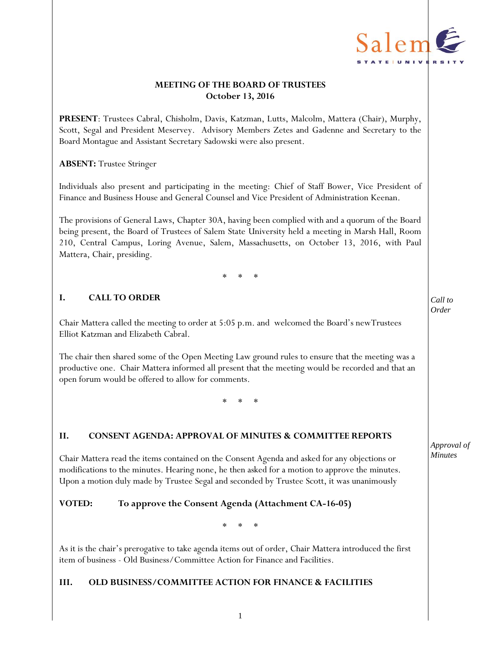

# **MEETING OF THE BOARD OF TRUSTEES October 13, 2016**

**PRESENT**: Trustees Cabral, Chisholm, Davis, Katzman, Lutts, Malcolm, Mattera (Chair), Murphy, Scott, Segal and President Meservey. Advisory Members Zetes and Gadenne and Secretary to the Board Montague and Assistant Secretary Sadowski were also present.

### **ABSENT:** Trustee Stringer

Individuals also present and participating in the meeting: Chief of Staff Bower, Vice President of Finance and Business House and General Counsel and Vice President of Administration Keenan.

The provisions of General Laws, Chapter 30A, having been complied with and a quorum of the Board being present, the Board of Trustees of Salem State University held a meeting in Marsh Hall, Room 210, Central Campus, Loring Avenue, Salem, Massachusetts, on October 13, 2016, with Paul Mattera, Chair, presiding.

\* \* \*

# **I. CALL TO ORDER**

Chair Mattera called the meeting to order at 5:05 p.m. and welcomed the Board's newTrustees Elliot Katzman and Elizabeth Cabral.

The chair then shared some of the Open Meeting Law ground rules to ensure that the meeting was a productive one. Chair Mattera informed all present that the meeting would be recorded and that an open forum would be offered to allow for comments.

\* \* \*

## **II. CONSENT AGENDA: APPROVAL OF MINUTES & COMMITTEE REPORTS**

Chair Mattera read the items contained on the Consent Agenda and asked for any objections or modifications to the minutes. Hearing none, he then asked for a motion to approve the minutes. Upon a motion duly made by Trustee Segal and seconded by Trustee Scott, it was unanimously

## **VOTED: To approve the Consent Agenda (Attachment CA-16-05)**

\* \* \*

As it is the chair's prerogative to take agenda items out of order, Chair Mattera introduced the first item of business - Old Business/Committee Action for Finance and Facilities.

## **III. OLD BUSINESS/COMMITTEE ACTION FOR FINANCE & FACILITIES**

*Approval of Minutes*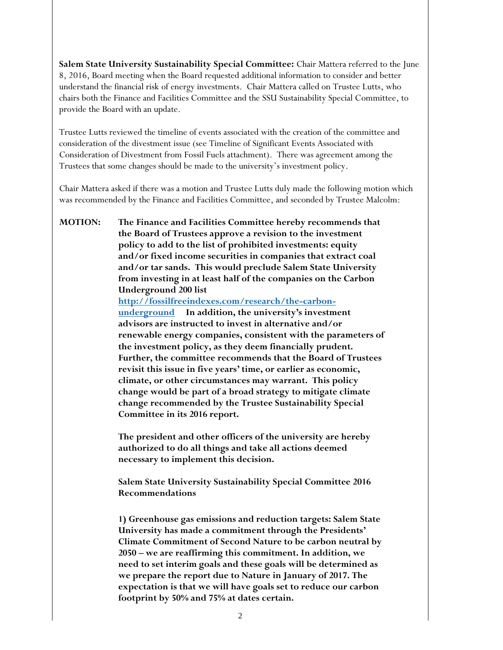**Salem State University Sustainability Special Committee:** Chair Mattera referred to the June 8, 2016, Board meeting when the Board requested additional information to consider and better understand the financial risk of energy investments. Chair Mattera called on Trustee Lutts, who chairs both the Finance and Facilities Committee and the SSU Sustainability Special Committee, to provide the Board with an update.

Trustee Lutts reviewed the timeline of events associated with the creation of the committee and consideration of the divestment issue (see Timeline of Significant Events Associated with Consideration of Divestment from Fossil Fuels attachment). There was agreement among the Trustees that some changes should be made to the university's investment policy.

Chair Mattera asked if there was a motion and Trustee Lutts duly made the following motion which was recommended by the Finance and Facilities Committee, and seconded by Trustee Malcolm:

**MOTION: The Finance and Facilities Committee hereby recommends that the Board of Trustees approve a revision to the investment policy to add to the list of prohibited investments: equity and/or fixed income securities in companies that extract coal and/or tar sands. This would preclude Salem State University from investing in at least half of the companies on the Carbon Underground 200 list [http://fossilfreeindexes.com/research/the-carbon](http://fossilfreeindexes.com/research/the-carbon-underground)[underground](http://fossilfreeindexes.com/research/the-carbon-underground) In addition, the university's investment advisors are instructed to invest in alternative and/or renewable energy companies, consistent with the parameters of the investment policy, as they deem financially prudent. Further, the committee recommends that the Board of Trustees revisit this issue in five years' time, or earlier as economic, climate, or other circumstances may warrant. This policy change would be part of a broad strategy to mitigate climate change recommended by the Trustee Sustainability Special Committee in its 2016 report.** 

> **The president and other officers of the university are hereby authorized to do all things and take all actions deemed necessary to implement this decision.**

> **Salem State University Sustainability Special Committee 2016 Recommendations**

**1) Greenhouse gas emissions and reduction targets: Salem State University has made a commitment through the Presidents' Climate Commitment of Second Nature to be carbon neutral by 2050 – we are reaffirming this commitment. In addition, we need to set interim goals and these goals will be determined as we prepare the report due to Nature in January of 2017. The expectation is that we will have goals set to reduce our carbon footprint by 50% and 75% at dates certain.**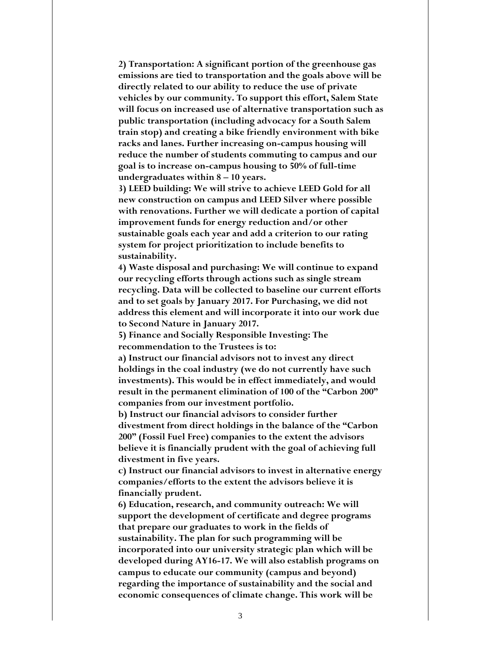**2) Transportation: A significant portion of the greenhouse gas emissions are tied to transportation and the goals above will be directly related to our ability to reduce the use of private vehicles by our community. To support this effort, Salem State will focus on increased use of alternative transportation such as public transportation (including advocacy for a South Salem train stop) and creating a bike friendly environment with bike racks and lanes. Further increasing on-campus housing will reduce the number of students commuting to campus and our goal is to increase on-campus housing to 50% of full-time undergraduates within 8 – 10 years.** 

**3) LEED building: We will strive to achieve LEED Gold for all new construction on campus and LEED Silver where possible with renovations. Further we will dedicate a portion of capital improvement funds for energy reduction and/or other sustainable goals each year and add a criterion to our rating system for project prioritization to include benefits to sustainability.** 

**4) Waste disposal and purchasing: We will continue to expand our recycling efforts through actions such as single stream recycling. Data will be collected to baseline our current efforts and to set goals by January 2017. For Purchasing, we did not address this element and will incorporate it into our work due to Second Nature in January 2017.** 

**5) Finance and Socially Responsible Investing: The recommendation to the Trustees is to:** 

**a) Instruct our financial advisors not to invest any direct holdings in the coal industry (we do not currently have such investments). This would be in effect immediately, and would result in the permanent elimination of 100 of the "Carbon 200" companies from our investment portfolio.** 

**b) Instruct our financial advisors to consider further divestment from direct holdings in the balance of the "Carbon 200" (Fossil Fuel Free) companies to the extent the advisors believe it is financially prudent with the goal of achieving full divestment in five years.** 

**c) Instruct our financial advisors to invest in alternative energy companies/efforts to the extent the advisors believe it is financially prudent.** 

**6) Education, research, and community outreach: We will support the development of certificate and degree programs that prepare our graduates to work in the fields of sustainability. The plan for such programming will be incorporated into our university strategic plan which will be developed during AY16-17. We will also establish programs on campus to educate our community (campus and beyond) regarding the importance of sustainability and the social and economic consequences of climate change. This work will be**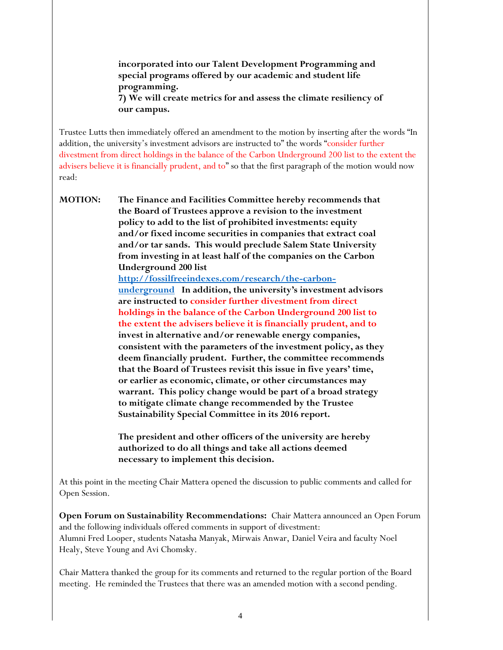**incorporated into our Talent Development Programming and special programs offered by our academic and student life programming. 7) We will create metrics for and assess the climate resiliency of our campus.** 

Trustee Lutts then immediately offered an amendment to the motion by inserting after the words "In addition, the university's investment advisors are instructed to" the words "consider further divestment from direct holdings in the balance of the Carbon Underground 200 list to the extent the advisers believe it is financially prudent, and to" so that the first paragraph of the motion would now read:

**MOTION: The Finance and Facilities Committee hereby recommends that the Board of Trustees approve a revision to the investment policy to add to the list of prohibited investments: equity and/or fixed income securities in companies that extract coal and/or tar sands. This would preclude Salem State University from investing in at least half of the companies on the Carbon Underground 200 list [http://fossilfreeindexes.com/research/the-carbon](http://fossilfreeindexes.com/research/the-carbon-underground)[underground](http://fossilfreeindexes.com/research/the-carbon-underground) In addition, the university's investment advisors are instructed to consider further divestment from direct holdings in the balance of the Carbon Underground 200 list to the extent the advisers believe it is financially prudent, and to invest in alternative and/or renewable energy companies, consistent with the parameters of the investment policy, as they deem financially prudent. Further, the committee recommends that the Board of Trustees revisit this issue in five years' time, or earlier as economic, climate, or other circumstances may warrant. This policy change would be part of a broad strategy to mitigate climate change recommended by the Trustee Sustainability Special Committee in its 2016 report.** 

> **The president and other officers of the university are hereby authorized to do all things and take all actions deemed necessary to implement this decision.**

At this point in the meeting Chair Mattera opened the discussion to public comments and called for Open Session.

**Open Forum on Sustainability Recommendations:** Chair Mattera announced an Open Forum and the following individuals offered comments in support of divestment: Alumni Fred Looper, students Natasha Manyak, Mirwais Anwar, Daniel Veira and faculty Noel Healy, Steve Young and Avi Chomsky.

Chair Mattera thanked the group for its comments and returned to the regular portion of the Board meeting. He reminded the Trustees that there was an amended motion with a second pending.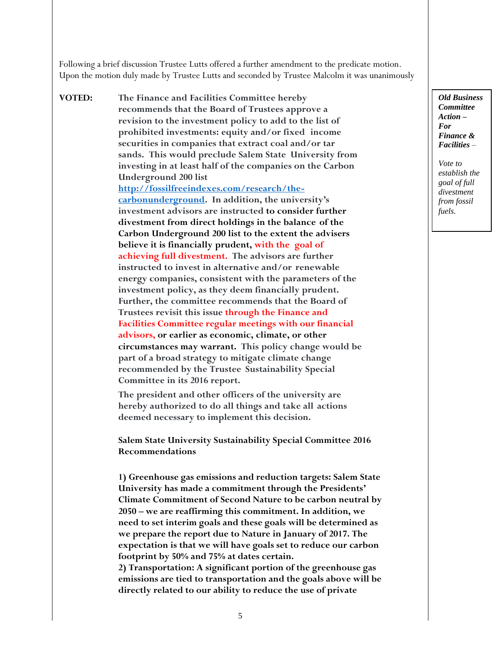Following a brief discussion Trustee Lutts offered a further amendment to the predicate motion. Upon the motion duly made by Trustee Lutts and seconded by Trustee Malcolm it was unanimously

**VOTED: The Finance and Facilities Committee hereby recommends that the Board of Trustees approve a revision to the investment policy to add to the list of prohibited investments: equity and/or fixed income securities in companies that extract coal and/or tar sands. This would preclude Salem State University from investing in at least half of the companies on the Carbon Underground 200 list [http://fossilfreeindexes.com/research/the](http://fossilfreeindexes.com/research/the-carbonunderground)[carbonunderground.](http://fossilfreeindexes.com/research/the-carbonunderground) In addition, the university's investment advisors are instructed to consider further divestment from direct holdings in the balance of the Carbon Underground 200 list to the extent the advisers believe it is financially prudent, with the goal of achieving full divestment. The advisors are further instructed to invest in alternative and/or renewable energy companies, consistent with the parameters of the investment policy, as they deem financially prudent. Further, the committee recommends that the Board of Trustees revisit this issue through the Finance and Facilities Committee regular meetings with our financial advisors, or earlier as economic, climate, or other circumstances may warrant. This policy change would be part of a broad strategy to mitigate climate change recommended by the Trustee Sustainability Special Committee in its 2016 report.**

> **The president and other officers of the university are hereby authorized to do all things and take all actions deemed necessary to implement this decision.**

**Salem State University Sustainability Special Committee 2016 Recommendations**

**1) Greenhouse gas emissions and reduction targets: Salem State University has made a commitment through the Presidents' Climate Commitment of Second Nature to be carbon neutral by 2050 – we are reaffirming this commitment. In addition, we need to set interim goals and these goals will be determined as we prepare the report due to Nature in January of 2017. The expectation is that we will have goals set to reduce our carbon footprint by 50% and 75% at dates certain. 2) Transportation: A significant portion of the greenhouse gas emissions are tied to transportation and the goals above will be** 

*Old Business Committee Action – For Finance & Facilities –*

*Vote to establish the goal of full divestment from fossil fuels.*

**directly related to our ability to reduce the use of private**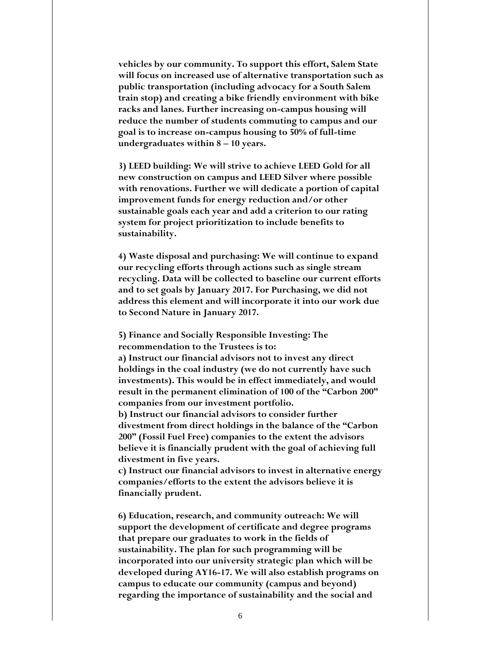**vehicles by our community. To support this effort, Salem State will focus on increased use of alternative transportation such as public transportation (including advocacy for a South Salem train stop) and creating a bike friendly environment with bike racks and lanes. Further increasing on-campus housing will reduce the number of students commuting to campus and our goal is to increase on-campus housing to 50% of full-time undergraduates within 8 – 10 years.** 

**3) LEED building: We will strive to achieve LEED Gold for all new construction on campus and LEED Silver where possible with renovations. Further we will dedicate a portion of capital improvement funds for energy reduction and/or other sustainable goals each year and add a criterion to our rating system for project prioritization to include benefits to sustainability.** 

**4) Waste disposal and purchasing: We will continue to expand our recycling efforts through actions such as single stream recycling. Data will be collected to baseline our current efforts and to set goals by January 2017. For Purchasing, we did not address this element and will incorporate it into our work due to Second Nature in January 2017.** 

**5) Finance and Socially Responsible Investing: The recommendation to the Trustees is to:** 

**a) Instruct our financial advisors not to invest any direct holdings in the coal industry (we do not currently have such investments). This would be in effect immediately, and would result in the permanent elimination of 100 of the "Carbon 200" companies from our investment portfolio.** 

**b) Instruct our financial advisors to consider further divestment from direct holdings in the balance of the "Carbon 200" (Fossil Fuel Free) companies to the extent the advisors believe it is financially prudent with the goal of achieving full divestment in five years.** 

**c) Instruct our financial advisors to invest in alternative energy companies/efforts to the extent the advisors believe it is financially prudent.** 

**6) Education, research, and community outreach: We will support the development of certificate and degree programs that prepare our graduates to work in the fields of sustainability. The plan for such programming will be incorporated into our university strategic plan which will be developed during AY16-17. We will also establish programs on campus to educate our community (campus and beyond) regarding the importance of sustainability and the social and**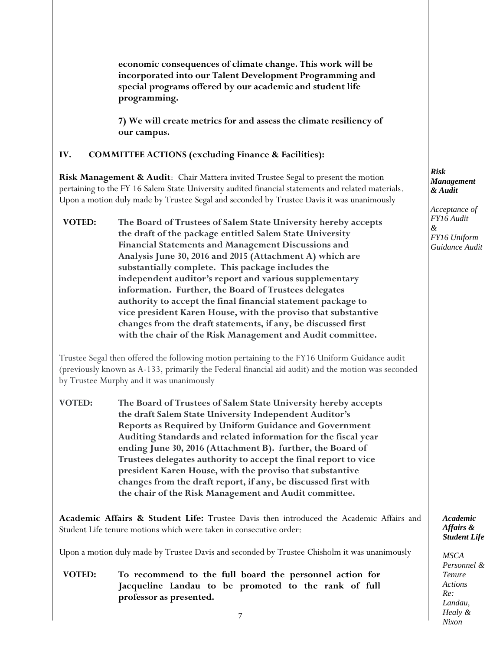**economic consequences of climate change. This work will be incorporated into our Talent Development Programming and special programs offered by our academic and student life programming.** 

**7) We will create metrics for and assess the climate resiliency of our campus.** 

### **IV. COMMITTEE ACTIONS (excluding Finance & Facilities):**

**Risk Management & Audit**: Chair Mattera invited Trustee Segal to present the motion pertaining to the FY 16 Salem State University audited financial statements and related materials. Upon a motion duly made by Trustee Segal and seconded by Trustee Davis it was unanimously

**VOTED: The Board of Trustees of Salem State University hereby accepts the draft of the package entitled Salem State University Financial Statements and Management Discussions and Analysis June 30, 2016 and 2015 (Attachment A) which are substantially complete. This package includes the independent auditor's report and various supplementary information. Further, the Board of Trustees delegates authority to accept the final financial statement package to vice president Karen House, with the proviso that substantive changes from the draft statements, if any, be discussed first with the chair of the Risk Management and Audit committee.**

Trustee Segal then offered the following motion pertaining to the FY16 Uniform Guidance audit (previously known as A-133, primarily the Federal financial aid audit) and the motion was seconded by Trustee Murphy and it was unanimously

**VOTED: The Board of Trustees of Salem State University hereby accepts the draft Salem State University Independent Auditor's Reports as Required by Uniform Guidance and Government Auditing Standards and related information for the fiscal year ending June 30, 2016 (Attachment B). further, the Board of Trustees delegates authority to accept the final report to vice president Karen House, with the proviso that substantive changes from the draft report, if any, be discussed first with the chair of the Risk Management and Audit committee.**

**Academic Affairs & Student Life:** Trustee Davis then introduced the Academic Affairs and Student Life tenure motions which were taken in consecutive order:

Upon a motion duly made by Trustee Davis and seconded by Trustee Chisholm it was unanimously

**VOTED: To recommend to the full board the personnel action for Jacqueline Landau to be promoted to the rank of full professor as presented.** 

#### *Risk Management & Audit*

*Acceptance of FY16 Audit & FY16 Uniform Guidance Audit*

> *Academic Affairs & Student Life*

*MSCA Personnel & Tenure Actions Re: Landau, Healy & Nixon*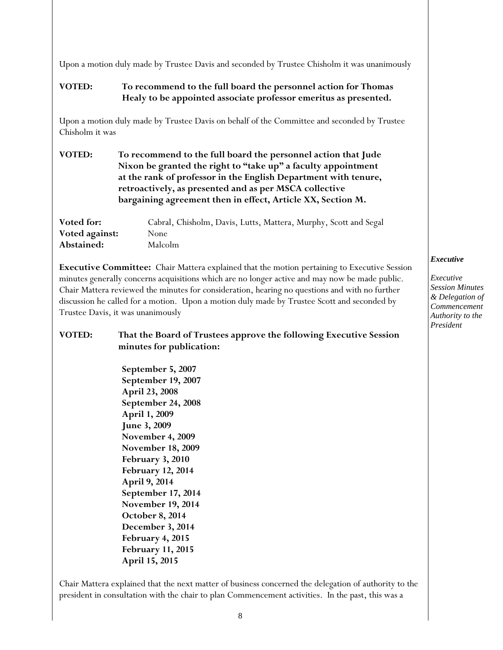Upon a motion duly made by Trustee Davis and seconded by Trustee Chisholm it was unanimously

# **VOTED: To recommend to the full board the personnel action for Thomas Healy to be appointed associate professor emeritus as presented.**

Upon a motion duly made by Trustee Davis on behalf of the Committee and seconded by Trustee Chisholm it was

| <b>VOTED:</b> | To recommend to the full board the personnel action that Jude   |
|---------------|-----------------------------------------------------------------|
|               | Nixon be granted the right to "take up" a faculty appointment   |
|               | at the rank of professor in the English Department with tenure, |
|               | retroactively, as presented and as per MSCA collective          |
|               | bargaining agreement then in effect, Article XX, Section M.     |

| Voted for:     | Cabral, Chisholm, Davis, Lutts, Mattera, Murphy, Scott and Segal |
|----------------|------------------------------------------------------------------|
| Voted against: | None                                                             |
| Abstained:     | Malcolm                                                          |

**Executive Committee:** Chair Mattera explained that the motion pertaining to Executive Session minutes generally concerns acquisitions which are no longer active and may now be made public. Chair Mattera reviewed the minutes for consideration, hearing no questions and with no further discussion he called for a motion. Upon a motion duly made by Trustee Scott and seconded by Trustee Davis, it was unanimously

# **VOTED: That the Board of Trustees approve the following Executive Session minutes for publication:**

**September 5, 2007 September 19, 2007 April 23, 2008 September 24, 2008 April 1, 2009 June 3, 2009 November 4, 2009 November 18, 2009 February 3, 2010 February 12, 2014 April 9, 2014 September 17, 2014 November 19, 2014 October 8, 2014 December 3, 2014 February 4, 2015 February 11, 2015 April 15, 2015**

*Executive*

*Executive Session Minutes & Delegation of Commencement Authority to the President*

Chair Mattera explained that the next matter of business concerned the delegation of authority to the president in consultation with the chair to plan Commencement activities. In the past, this was a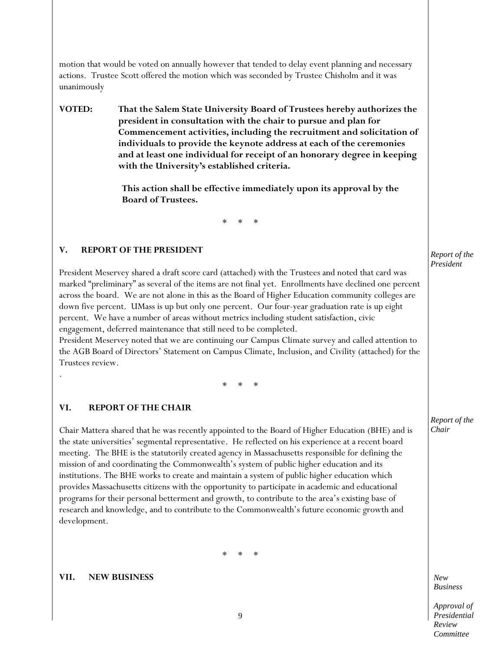motion that would be voted on annually however that tended to delay event planning and necessary actions. Trustee Scott offered the motion which was seconded by Trustee Chisholm and it was unanimously

**VOTED: That the Salem State University Board of Trustees hereby authorizes the president in consultation with the chair to pursue and plan for Commencement activities, including the recruitment and solicitation of individuals to provide the keynote address at each of the ceremonies and at least one individual for receipt of an honorary degree in keeping with the University's established criteria.**

> **This action shall be effective immediately upon its approval by the Board of Trustees.**

> > \* \* \*

#### **V. REPORT OF THE PRESIDENT**

President Meservey shared a draft score card (attached) with the Trustees and noted that card was marked "preliminary" as several of the items are not final yet. Enrollments have declined one percent across the board. We are not alone in this as the Board of Higher Education community colleges are down five percent. UMass is up but only one percent. Our four-year graduation rate is up eight percent. We have a number of areas without metrics including student satisfaction, civic engagement, deferred maintenance that still need to be completed.

President Meservey noted that we are continuing our Campus Climate survey and called attention to the AGB Board of Directors' Statement on Campus Climate, Inclusion, and Civility (attached) for the Trustees review.

\* \* \*

#### **VI. REPORT OF THE CHAIR**

.

Chair Mattera shared that he was recently appointed to the Board of Higher Education (BHE) and is the state universities' segmental representative. He reflected on his experience at a recent board meeting. The BHE is the statutorily created agency in Massachusetts responsible for defining the mission of and coordinating the Commonwealth's system of public higher education and its institutions. The BHE works to create and maintain a system of public higher education which provides Massachusetts citizens with the opportunity to participate in academic and educational programs for their personal betterment and growth, to contribute to the area's existing base of research and knowledge, and to contribute to the Commonwealth's future economic growth and development.

\* \* \*

#### **VII. NEW BUSINESS**

*Report of the President*

*Report of the Chair*

*New Business*

*Approval of Presidential Review Committee*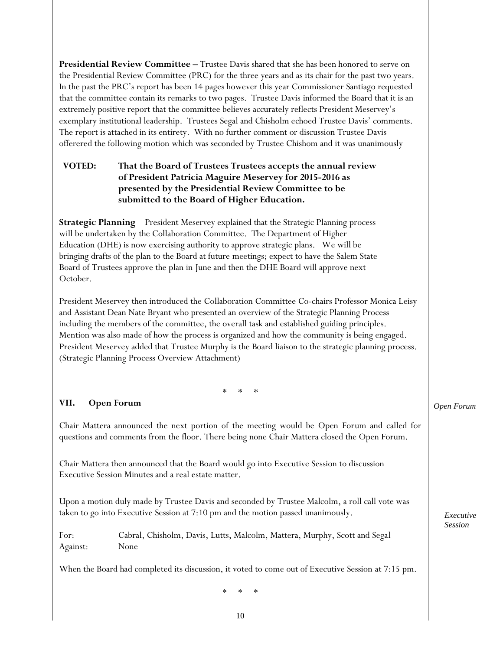**Presidential Review Committee –** Trustee Davis shared that she has been honored to serve on the Presidential Review Committee (PRC) for the three years and as its chair for the past two years. In the past the PRC's report has been 14 pages however this year Commissioner Santiago requested that the committee contain its remarks to two pages. Trustee Davis informed the Board that it is an extremely positive report that the committee believes accurately reflects President Meservey's exemplary institutional leadership. Trustees Segal and Chisholm echoed Trustee Davis' comments. The report is attached in its entirety. With no further comment or discussion Trustee Davis offerered the following motion which was seconded by Trustee Chishom and it was unanimously

# **VOTED: That the Board of Trustees Trustees accepts the annual review of President Patricia Maguire Meservey for 2015-2016 as presented by the Presidential Review Committee to be submitted to the Board of Higher Education.**

**Strategic Planning** – President Meservey explained that the Strategic Planning process will be undertaken by the Collaboration Committee. The Department of Higher Education (DHE) is now exercising authority to approve strategic plans. We will be bringing drafts of the plan to the Board at future meetings; expect to have the Salem State Board of Trustees approve the plan in June and then the DHE Board will approve next October.

President Meservey then introduced the Collaboration Committee Co-chairs Professor Monica Leisy and Assistant Dean Nate Bryant who presented an overview of the Strategic Planning Process including the members of the committee, the overall task and established guiding principles. Mention was also made of how the process is organized and how the community is being engaged. President Meservey added that Trustee Murphy is the Board liaison to the strategic planning process. (Strategic Planning Process Overview Attachment)

\* \* \*

# **VII. Open Forum**

Chair Mattera announced the next portion of the meeting would be Open Forum and called for questions and comments from the floor. There being none Chair Mattera closed the Open Forum.

Chair Mattera then announced that the Board would go into Executive Session to discussion Executive Session Minutes and a real estate matter.

Upon a motion duly made by Trustee Davis and seconded by Trustee Malcolm, a roll call vote was taken to go into Executive Session at 7:10 pm and the motion passed unanimously.

For: Cabral, Chisholm, Davis, Lutts, Malcolm, Mattera, Murphy, Scott and Segal Against: None

When the Board had completed its discussion, it voted to come out of Executive Session at 7:15 pm.

\* \* \*

*Open Forum*

*Executive Session*